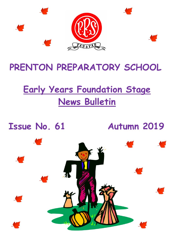

## **PRENTON PREPARATORY SCHOOL**

## **Early Years Foundation Stage News Bulletin**

**Issue No. 61 Autumn 2019**

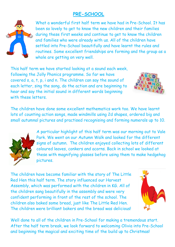#### **PRE-SCHOOL**



What a wonderful first half term we have had in Pre-School. It has been so lovely to get to know the new children and their families during these first weeks and continue to get to know the children and families who were already with us. All of the children have settled into Pre-School beautifully and have learnt the rules and routines. Some excellent friendships are forming and the group as a whole are getting on very well.

This half term we have started looking at a sound each week, following the Jolly Phonics programme. So far we have covered s, a, t, p, i and n. The children can say the sound of each letter, sing the song, do the action and are beginning to hear and say the initial sound in different words beginning with these letters.



The children have done some excellent mathematics work too. We have learnt lots of counting action songs, made windmills using 2d shapes, ordered big and small autumnal pictures and practised recognising and forming numerals up to 10.



A particular highlight of this half term was our morning out to Vale Park. We went on our Autumn Walk and looked for the different signs of autumn. The children enjoyed collecting lots of different coloured leaves, conkers and acorns. Back in school we looked at these with magnifying glasses before using them to make hedgehog pictures.

The children have become familiar with the story of The Little Red Hen this half term. The story influenced our Harvest Assembly, which was performed with the children in KG. All of the children sang beautifully in the assembly and were very confident performing in front of the rest of the school. The children also baked some bread, just like The Little Red Hen. The children were brilliant bakers and the bread was delicious!



Well done to all of the children in Pre-School for making a tremendous start. After the half term break, we look forward to welcoming Olivia into Pre-School and beginning the magical and exciting time of the build up to Christmas!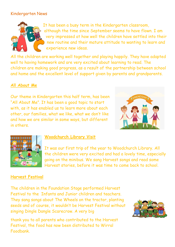#### Kindergarten News



It has been a busy term in the Kindergarten classroom, although the time since September seems to have flown. I am very impressed at how well the children have settled into their new routine and their mature attitude to wanting to learn and experience new ideas.

All the children are working well together and playing happily. They have adapted well to having homework and are very excited about learning to read. The children are making good progress, as a result of the partnership between school and home and the excellent level of support given by parents and grandparents.

#### **All About Me**

Our theme in Kindergarten this half term, has been "All About Me". It has been a good topic to start with, as it has enabled us to learn more about each other, our families, what we like, what we don't like and how we are similar in some ways, but different in others.





#### **Woodchurch Library Visit**

It was our first trip of the year to Woodchurch Library. All the children were very excited and had a lovely time, especially going on the minibus. We sang Harvest songs and read some Harvest stories, before it was time to come back to school.

#### **Harvest Festival**

The children in the Foundation Stage performed Harvest Festival to the Infants and Junior children and teachers. They sang songs about The Wheels on the tractor, planting seeds and of course, it wouldn't be Harvest Festival without singing Dingle Dangle Scarecrow. A very big

thank you to all parents who contributed to the Harvest Festival, the food has now been distributed to Wirral Foodbank.

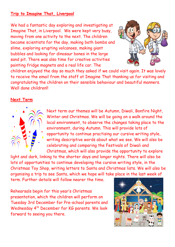#### **Trip to Imagine That, Liverpool**

We had a fantastic day exploring and investigating at Imagine That, in Liverpool. We were kept very busy, moving from one activity to the next. The children became scientists for the day, making bath bombs and slime, exploring erupting volcanoes, making giant bubbles and looking for dinosaur bones in the large sand pit. There was also time for creative activities painting fridge magnets and a real life car. The



children enjoyed the day so much they asked if we could visit again. It was lovely to receive the email from the staff at Imagine That thanking us for visiting and congratulating the children on their sensible behaviour and beautiful manners. Well done children!!

#### **Next Term**



Next term our themes will be Autumn, Diwali, Bonfire Night, Winter and Christmas. We will be going on a walk around the local environment, to observe the changes taking place to the environment, during Autumn. This will provide lots of opportunity to continue practising our cursive writing style, writing descriptive words about what we see. We will also be celebrating and comparing the Festivals of Diwali and Christmas, which will also provide the opportunity to explore

light and dark, linking to the shorter days and longer nights. There will also be lots of opportunities to continue developing the cursive writing style, in the Christmas Toy Shop, writing letters to Santa and Christmas lists. We will also be organising a trip to see Santa, which we hope will take place in the last week of term. Further details will follow nearer the time.

Rehearsals begin for this year's Christmas presentation, which the children will perform on Tuesday 3rd December for Pre-school parents and Wednesday 4<sup>th</sup> December for KG parents. We look forward to seeing you there.

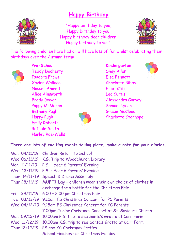### **Happy Birthday**



"Happy birthday to you, Happy birthday to you, Happy birthday dear children, Happy birthday to you".



The following children have had or will have lots of fun whilst celebrating their birthdays over the Autumn term:



**Pre-School Kindergarten** Teddy Docherty Shay Allen Isadora Frowe Elsa Bennett Xavier Wallace Charlotte Bibby Nasser Ahmed Elliot Cliff Alice Ainsworth Leo Curtis Poppy McMahon Samuel Lynch Bethany Pugh Gracie McCloud Emily Roberts Rafaele Smith Harley Rae-Wells



Brody Dwyer Alessandra Garvey Harry Pugh Charlotte Stanhope



#### **There are lots of exciting events taking place, make a note for your diaries.**

|     | Mon 04/11/19  | <b>Children Return to School</b>                         |
|-----|---------------|----------------------------------------------------------|
|     | Wed 06/11/19  | K.G. Trip to Woodchurch Library                          |
|     | Mon 11/11/19  | P.S. - Year 6 Parents' Evening                           |
|     | Wed 13/11/19  | P.S. - Year 6 Parents' Evening                           |
|     | Thur 14/11/19 | Speech & Drama Assembly                                  |
|     | Thur 28/11/19 | MUFTI Day - children wear their own choice of clothes in |
|     |               | exchange for a bottle for the Christmas Fair             |
| Fri | 29/11/19      | 6.00 - 8.00 pm Christmas Fair                            |
|     |               | Tue 03/12/19 9.15am FS Christmas Concert for PS Parents  |
|     |               | Wed 04/12/19 9.15am FS Christmas Concert for KG Parents  |
|     |               | 7.00pm Junior Christmas Concert at St. Saviour's Church  |
|     | Mon 09/12/19  | 10.00am P.S. trip to see Santa's Grotto at Carr Farm     |
|     | Wed 11/12/19  | 10.00am K.G. trip to see Santa's Grotto at Carr Farm     |
|     |               | Thur 12/12/19 PS and KG Christmas Parties                |
|     |               | <b>School Finishes for Christmas Holiday</b>             |